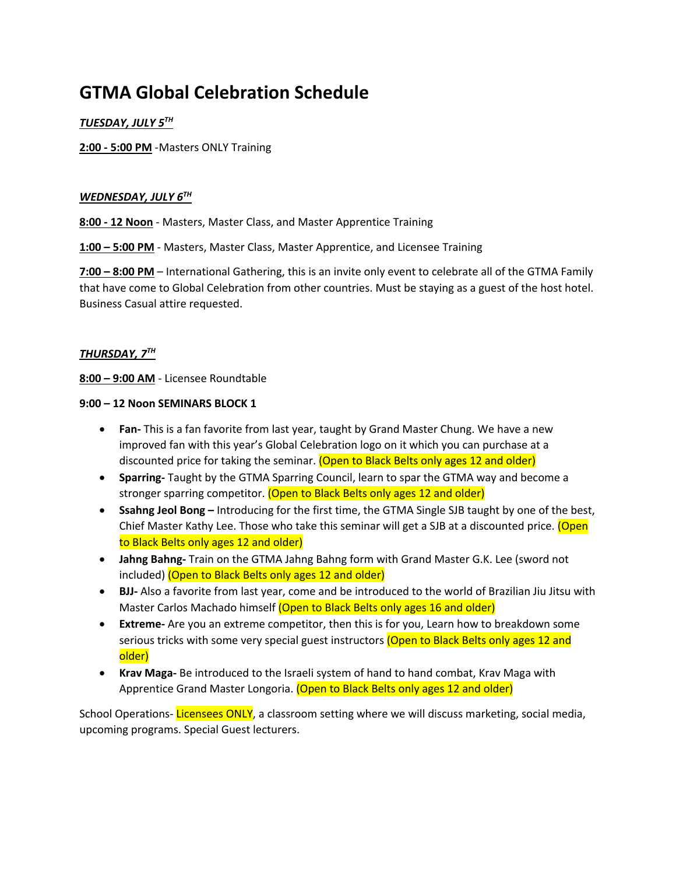# **GTMA Global Celebration Schedule**

# *TUESDAY, JULY 5TH*

**2:00 - 5:00 PM** -Masters ONLY Training

### *WEDNESDAY, JULY 6TH*

**8:00 - 12 Noon** - Masters, Master Class, and Master Apprentice Training

**1:00 – 5:00 PM** - Masters, Master Class, Master Apprentice, and Licensee Training

**7:00 – 8:00 PM** – International Gathering, this is an invite only event to celebrate all of the GTMA Family that have come to Global Celebration from other countries. Must be staying as a guest of the host hotel. Business Casual attire requested.

# *THURSDAY, 7TH*

**8:00 – 9:00 AM** - Licensee Roundtable

#### **9:00 – 12 Noon SEMINARS BLOCK 1**

- **Fan-** This is a fan favorite from last year, taught by Grand Master Chung. We have a new improved fan with this year's Global Celebration logo on it which you can purchase at a discounted price for taking the seminar. (Open to Black Belts only ages 12 and older)
- **Sparring-** Taught by the GTMA Sparring Council, learn to spar the GTMA way and become a stronger sparring competitor. (Open to Black Belts only ages 12 and older)
- **Ssahng Jeol Bong –** Introducing for the first time, the GTMA Single SJB taught by one of the best, Chief Master Kathy Lee. Those who take this seminar will get a SJB at a discounted price. (Open to Black Belts only ages 12 and older)
- **Jahng Bahng-** Train on the GTMA Jahng Bahng form with Grand Master G.K. Lee (sword not included) (Open to Black Belts only ages 12 and older)
- **BJJ-** Also a favorite from last year, come and be introduced to the world of Brazilian Jiu Jitsu with Master Carlos Machado himself (Open to Black Belts only ages 16 and older)
- **Extreme-** Are you an extreme competitor, then this is for you, Learn how to breakdown some serious tricks with some very special guest instructors (Open to Black Belts only ages 12 and older)
- **Krav Maga-** Be introduced to the Israeli system of hand to hand combat, Krav Maga with Apprentice Grand Master Longoria. (Open to Black Belts only ages 12 and older)

School Operations- Licensees ONLY, a classroom setting where we will discuss marketing, social media, upcoming programs. Special Guest lecturers.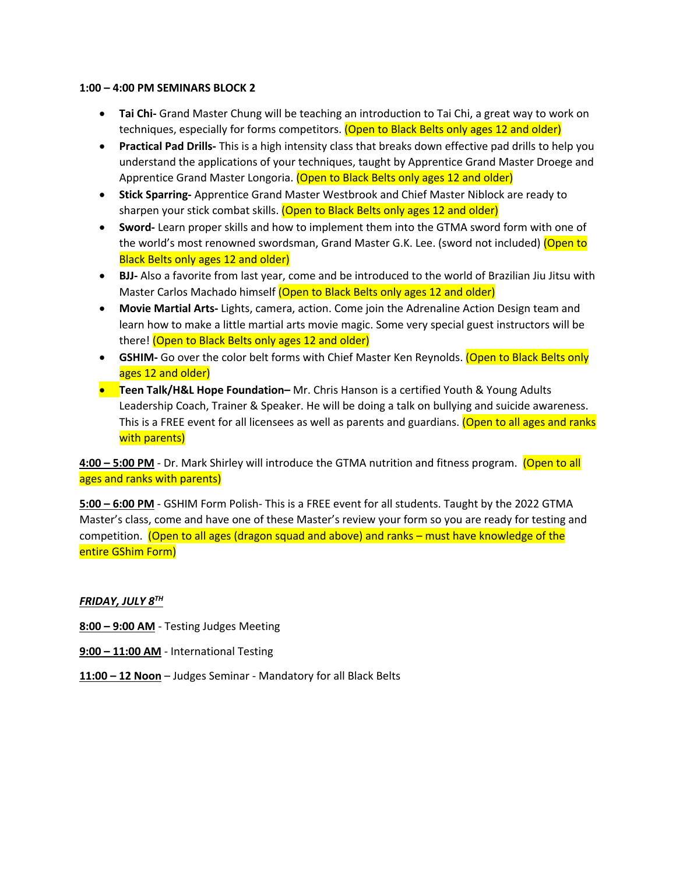#### **1:00 – 4:00 PM SEMINARS BLOCK 2**

- **Tai Chi-** Grand Master Chung will be teaching an introduction to Tai Chi, a great way to work on techniques, especially for forms competitors. (Open to Black Belts only ages 12 and older)
- **Practical Pad Drills-** This is a high intensity class that breaks down effective pad drills to help you understand the applications of your techniques, taught by Apprentice Grand Master Droege and Apprentice Grand Master Longoria. (Open to Black Belts only ages 12 and older)
- **Stick Sparring-** Apprentice Grand Master Westbrook and Chief Master Niblock are ready to sharpen your stick combat skills. (Open to Black Belts only ages 12 and older)
- **Sword-** Learn proper skills and how to implement them into the GTMA sword form with one of the world's most renowned swordsman, Grand Master G.K. Lee. (sword not included) (Open to Black Belts only ages 12 and older)
- **BJJ-** Also a favorite from last year, come and be introduced to the world of Brazilian Jiu Jitsu with Master Carlos Machado himself (Open to Black Belts only ages 12 and older)
- **Movie Martial Arts-** Lights, camera, action. Come join the Adrenaline Action Design team and learn how to make a little martial arts movie magic. Some very special guest instructors will be there! (Open to Black Belts only ages 12 and older)
- **GSHIM-** Go over the color belt forms with Chief Master Ken Reynolds. (Open to Black Belts only ages 12 and older)
- **Teen Talk/H&L Hope Foundation–** Mr. Chris Hanson is a certified Youth & Young Adults Leadership Coach, Trainer & Speaker. He will be doing a talk on bullying and suicide awareness. This is a FREE event for all licensees as well as parents and guardians. (Open to all ages and ranks with parents)

**4:00 – 5:00 PM** - Dr. Mark Shirley will introduce the GTMA nutrition and fitness program. (Open to all ages and ranks with parents)

**5:00 – 6:00 PM** - GSHIM Form Polish- This is a FREE event for all students. Taught by the 2022 GTMA Master's class, come and have one of these Master's review your form so you are ready for testing and competition. (Open to all ages (dragon squad and above) and ranks – must have knowledge of the entire GShim Form)

*FRIDAY, JULY 8TH*

**8:00 – 9:00 AM** - Testing Judges Meeting

- **9:00 – 11:00 AM** International Testing
- **11:00 – 12 Noon** Judges Seminar Mandatory for all Black Belts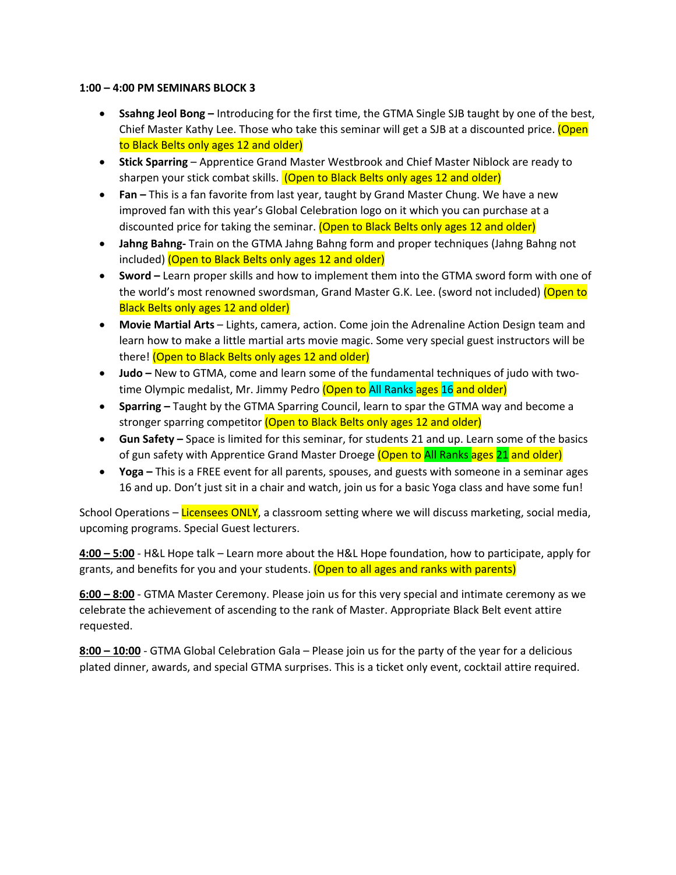#### **1:00 – 4:00 PM SEMINARS BLOCK 3**

- **Ssahng Jeol Bong –** Introducing for the first time, the GTMA Single SJB taught by one of the best, Chief Master Kathy Lee. Those who take this seminar will get a SJB at a discounted price. (Open to Black Belts only ages 12 and older)
- **Stick Sparring** Apprentice Grand Master Westbrook and Chief Master Niblock are ready to sharpen your stick combat skills. (Open to Black Belts only ages 12 and older)
- **Fan –** This is a fan favorite from last year, taught by Grand Master Chung. We have a new improved fan with this year's Global Celebration logo on it which you can purchase at a discounted price for taking the seminar. (Open to Black Belts only ages 12 and older)
- **Jahng Bahng-** Train on the GTMA Jahng Bahng form and proper techniques (Jahng Bahng not included) (Open to Black Belts only ages 12 and older)
- **Sword –** Learn proper skills and how to implement them into the GTMA sword form with one of the world's most renowned swordsman, Grand Master G.K. Lee. (sword not included) (Open to Black Belts only ages 12 and older)
- **Movie Martial Arts** Lights, camera, action. Come join the Adrenaline Action Design team and learn how to make a little martial arts movie magic. Some very special guest instructors will be there! (Open to Black Belts only ages 12 and older)
- **Judo –** New to GTMA, come and learn some of the fundamental techniques of judo with twotime Olympic medalist, Mr. Jimmy Pedro (Open to All Ranks ages 16 and older)
- **Sparring –** Taught by the GTMA Sparring Council, learn to spar the GTMA way and become a stronger sparring competitor (Open to Black Belts only ages 12 and older)
- **Gun Safety –** Space is limited for this seminar, for students 21 and up. Learn some of the basics of gun safety with Apprentice Grand Master Droege (Open to All Ranks ages 21 and older)
- **Yoga –** This is a FREE event for all parents, spouses, and guests with someone in a seminar ages 16 and up. Don't just sit in a chair and watch, join us for a basic Yoga class and have some fun!

School Operations – Licensees ONLY, a classroom setting where we will discuss marketing, social media, upcoming programs. Special Guest lecturers.

**4:00 – 5:00** - H&L Hope talk – Learn more about the H&L Hope foundation, how to participate, apply for grants, and benefits for you and your students. (Open to all ages and ranks with parents)

**6:00 – 8:00** - GTMA Master Ceremony. Please join us for this very special and intimate ceremony as we celebrate the achievement of ascending to the rank of Master. Appropriate Black Belt event attire requested.

**8:00 – 10:00** - GTMA Global Celebration Gala – Please join us for the party of the year for a delicious plated dinner, awards, and special GTMA surprises. This is a ticket only event, cocktail attire required.